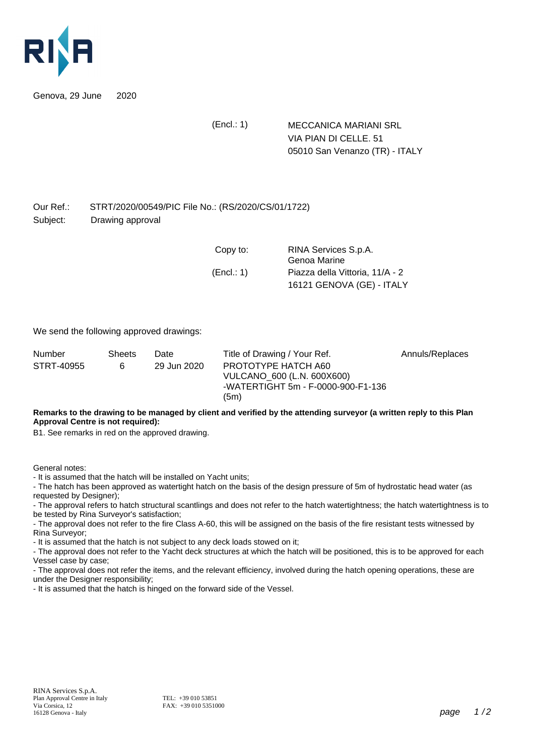

Genova, 29 June 2020

(Encl.: 1) MECCANICA MARIANI SRL VIA PIAN DI CELLE. 51 05010 San Venanzo (TR) - ITALY

## Our Ref.: STRT/2020/00549/PIC File No.: (RS/2020/CS/01/1722) Subject: Drawing approval

| Copy to:   | RINA Services S.p.A.<br>Genoa Marine |
|------------|--------------------------------------|
| (Encl.: 1) | Piazza della Vittoria, 11/A - 2      |
|            | 16121 GENOVA (GE) - ITALY            |

We send the following approved drawings:

| Number     | <b>Sheets</b> | Date        | Title of Drawing / Your Ref.                                                                    | Annuls/Replaces |
|------------|---------------|-------------|-------------------------------------------------------------------------------------------------|-----------------|
| STRT-40955 | 6             | 29 Jun 2020 | PROTOTYPE HATCH A60<br>VULCANO 600 (L.N. 600X600)<br>-WATERTIGHT 5m - F-0000-900-F1-136<br>(5m) |                 |

**Remarks to the drawing to be managed by client and verified by the attending surveyor (a written reply to this Plan Approval Centre is not required):**

B1. See remarks in red on the approved drawing.

General notes:

- It is assumed that the hatch will be installed on Yacht units;

- The hatch has been approved as watertight hatch on the basis of the design pressure of 5m of hydrostatic head water (as requested by Designer);

- The approval refers to hatch structural scantlings and does not refer to the hatch watertightness; the hatch watertightness is to be tested by Rina Surveyor's satisfaction;

- The approval does not refer to the fire Class A-60, this will be assigned on the basis of the fire resistant tests witnessed by Rina Surveyor;

- It is assumed that the hatch is not subject to any deck loads stowed on it;

- The approval does not refer to the Yacht deck structures at which the hatch will be positioned, this is to be approved for each Vessel case by case;

- The approval does not refer the items, and the relevant efficiency, involved during the hatch opening operations, these are under the Designer responsibility;

- It is assumed that the hatch is hinged on the forward side of the Vessel.